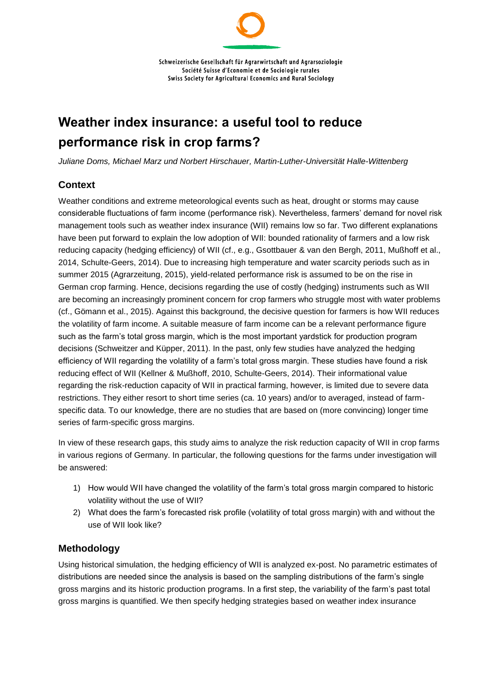# **Weather index insurance: a useful tool to reduce performance risk in crop farms?**

*Juliane Doms, Michael Marz und Norbert Hirschauer, Martin-Luther-Universität Halle-Wittenberg*

## **Context**

Weather conditions and extreme meteorological events such as heat, drought or storms may cause considerable fluctuations of farm income (performance risk). Nevertheless, farmers' demand for novel risk management tools such as weather index insurance (WII) remains low so far. Two different explanations have been put forward to explain the low adoption of WII: bounded rationality of farmers and a low risk reducing capacity (hedging efficiency) of WII (cf., e.g., Gsottbauer & van den Bergh, 2011, Mußhoff et al., 2014, Schulte-Geers, 2014). Due to increasing high temperature and water scarcity periods such as in summer 2015 (Agrarzeitung, 2015), yield-related performance risk is assumed to be on the rise in German crop farming. Hence, decisions regarding the use of costly (hedging) instruments such as WII are becoming an increasingly prominent concern for crop farmers who struggle most with water problems (cf., Gömann et al., 2015). Against this background, the decisive question for farmers is how WII reduces the volatility of farm income. A suitable measure of farm income can be a relevant performance figure such as the farm's total gross margin, which is the most important yardstick for production program decisions (Schweitzer and Küpper, 2011). In the past, only few studies have analyzed the hedging efficiency of WII regarding the volatility of a farm's total gross margin. These studies have found a risk reducing effect of WII (Kellner & Mußhoff, 2010, Schulte-Geers, 2014). Their informational value regarding the risk-reduction capacity of WII in practical farming, however, is limited due to severe data restrictions. They either resort to short time series (ca. 10 years) and/or to averaged, instead of farmspecific data. To our knowledge, there are no studies that are based on (more convincing) longer time series of farm-specific gross margins.

In view of these research gaps, this study aims to analyze the risk reduction capacity of WII in crop farms in various regions of Germany. In particular, the following questions for the farms under investigation will be answered:

- 1) How would WII have changed the volatility of the farm's total gross margin compared to historic volatility without the use of WII?
- 2) What does the farm's forecasted risk profile (volatility of total gross margin) with and without the use of WII look like?

### **Methodology**

Using historical simulation, the hedging efficiency of WII is analyzed ex-post. No parametric estimates of distributions are needed since the analysis is based on the sampling distributions of the farm's single gross margins and its historic production programs. In a first step, the variability of the farm's past total gross margins is quantified. We then specify hedging strategies based on weather index insurance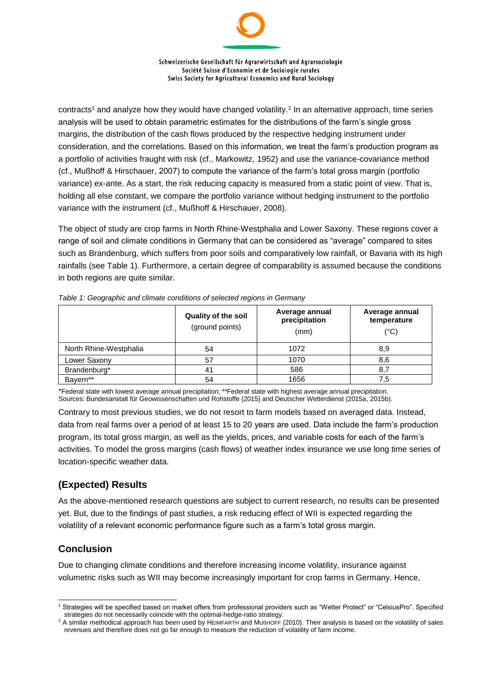Schweizerische Gesellschaft für Agrarwirtschaft und Agrarsoziologie Société Suisse d'Economie et de Sociologie rurales Swiss Society for Agricultural Economics and Rural Sociology

contracts<sup>1</sup> and analyze how they would have changed volatility.<sup>2</sup> In an alternative approach, time series analysis will be used to obtain parametric estimates for the distributions of the farm's single gross margins, the distribution of the cash flows produced by the respective hedging instrument under consideration, and the correlations. Based on this information, we treat the farm's production program as a portfolio of activities fraught with risk (cf., Markowitz, 1952) and use the variance-covariance method (cf., Mußhoff & Hirschauer, 2007) to compute the variance of the farm's total gross margin (portfolio variance) ex-ante. As a start, the risk reducing capacity is measured from a static point of view. That is, holding all else constant, we compare the portfolio variance without hedging instrument to the portfolio variance with the instrument (cf., Mußhoff & Hirschauer, 2008).

The object of study are crop farms in North Rhine-Westphalia and Lower Saxony. These regions cover a range of soil and climate conditions in Germany that can be considered as "average" compared to sites such as Brandenburg, which suffers from poor soils and comparatively low rainfall, or Bavaria with its high rainfalls (see Table 1). Furthermore, a certain degree of comparability is assumed because the conditions in both regions are quite similar.

|                        | <b>Quality of the soil</b><br>(ground points) | Average annual<br>precipitation<br>(mm) | Average annual<br>temperature<br>$(^{\circ}C)$ |
|------------------------|-----------------------------------------------|-----------------------------------------|------------------------------------------------|
| North Rhine-Westphalia | 54                                            | 1072                                    | 8,9                                            |
| Lower Saxony           | 57                                            | 1070                                    | 8,6                                            |
| Brandenburg*           | 41                                            | 586                                     | 8,                                             |
| Bayern**               | 54                                            | 1656                                    | 7.5                                            |

*Table 1: Geographic and climate conditions of selected regions in Germany*

\*Federal state with lowest average annual precipitation; \*\*Federal state with highest average annual precipitation. Sources: Bundesanstalt für Geowissenschaften und Rohstoffe (2015) and Deutscher Wetterdienst (2015a, 2015b).

Contrary to most previous studies, we do not resort to farm models based on averaged data. Instead, data from real farms over a period of at least 15 to 20 years are used. Data include the farm's production program, its total gross margin, as well as the yields, prices, and variable costs for each of the farm's activities. To model the gross margins (cash flows) of weather index insurance we use long time series of location-specific weather data.

### **(Expected) Results**

As the above-mentioned research questions are subject to current research, no results can be presented yet. But, due to the findings of past studies, a risk reducing effect of WII is expected regarding the volatility of a relevant economic performance figure such as a farm's total gross margin.

## **Conclusion**

Due to changing climate conditions and therefore increasing income volatility, insurance against volumetric risks such as WII may become increasingly important for crop farms in Germany. Hence,

l <sup>1</sup> Strategies will be specified based on market offers from professional providers such as "Wetter Protect" or "CelsiusPro". Specified strategies do not necessarily coincide with the optimal-hedge-ratio strategy.

<sup>&</sup>lt;sup>2</sup> A similar methodical approach has been used by HEIMFARTH and MUßHOFF (2010). Their analysis is based on the volatility of sales revenues and therefore does not go far enough to measure the reduction of volatility of farm income.